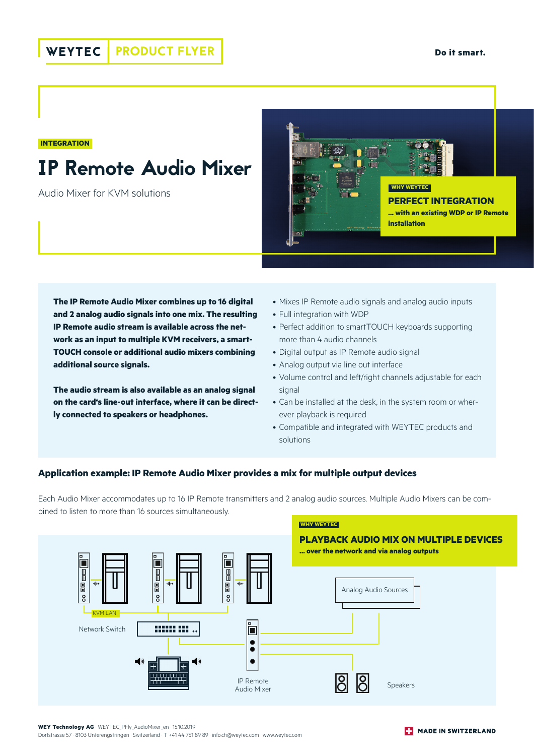#### **INTEGRATION**

# IP Remote Audio Mixer

Audio Mixer for KVM solutions



**The IP Remote Audio Mixer combines up to 16 digital and 2 analog audio signals into one mix. The resulting IP Remote audio stream is available across the network as an input to multiple KVM receivers, a smart-TOUCH console or additional audio mixers combining additional source signals.** 

**The audio stream is also available as an analog signal on the card's line-out interface, where it can be directly connected to speakers or headphones.** 

- Mixes IP Remote audio signals and analog audio inputs
- Full integration with WDP
- Perfect addition to smartTOUCH keyboards supporting more than 4 audio channels
- Digital output as IP Remote audio signal
- Analog output via line out interface
- Volume control and left/right channels adjustable for each signal
- Can be installed at the desk, in the system room or wherever playback is required
- Compatible and integrated with WEYTEC products and solutions

### **Application example: IP Remote Audio Mixer provides a mix for multiple output devices**

Each Audio Mixer accommodates up to 16 IP Remote transmitters and 2 analog audio sources. Multiple Audio Mixers can be combined to listen to more than 16 sources simultaneously.



**WEY Technology AG** · WEYTEC\_PFly\_AudioMixer\_en · 15.10.2019

Dorfstrasse 57 · 8103 Unterengstringen · Switzerland · T +41 44 751 89 89 · info.ch@weytec.com · www.weytec.com